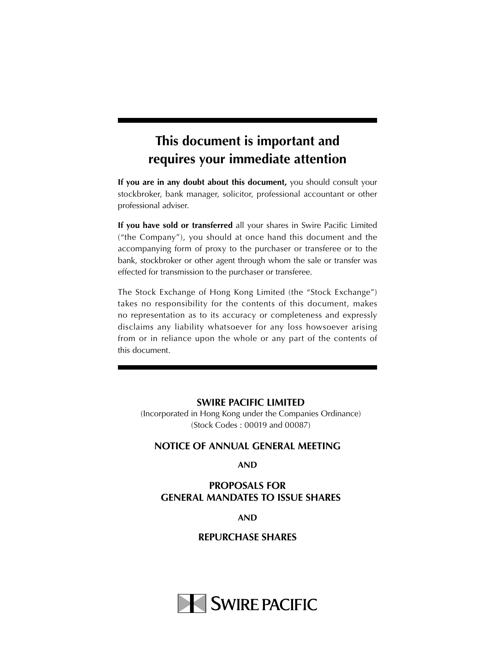# **This document is important and requires your immediate attention**

**If you are in any doubt about this document,** you should consult your stockbroker, bank manager, solicitor, professional accountant or other professional adviser.

**If you have sold or transferred** all your shares in Swire Pacific Limited ("the Company"), you should at once hand this document and the accompanying form of proxy to the purchaser or transferee or to the bank, stockbroker or other agent through whom the sale or transfer was effected for transmission to the purchaser or transferee.

The Stock Exchange of Hong Kong Limited (the "Stock Exchange") takes no responsibility for the contents of this document, makes no representation as to its accuracy or completeness and expressly disclaims any liability whatsoever for any loss howsoever arising from or in reliance upon the whole or any part of the contents of this document.

#### **SWIRE PACIFIC LIMITED**

(Incorporated in Hong Kong under the Companies Ordinance) (Stock Codes : 00019 and 00087)

### **NOTICE OF ANNUAL GENERAL MEETING**

**AND**

### **PROPOSALS FOR GENERAL MANDATES TO ISSUE SHARES**

#### **AND**

**REPURCHASE SHARES**

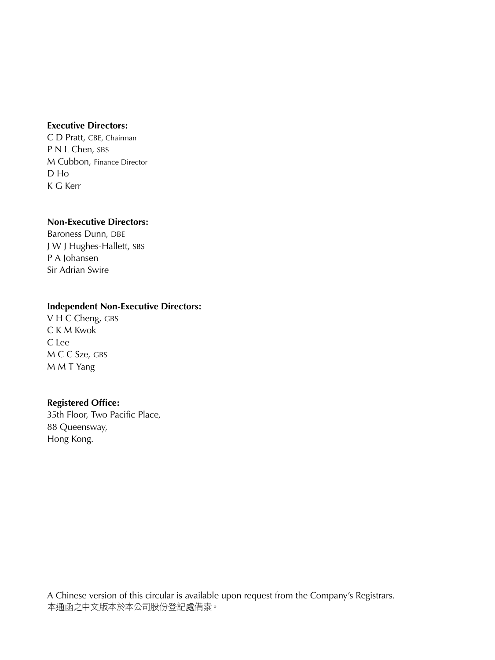#### **Executive Directors:**

C D Pratt, CBE, Chairman P N L Chen, SBS M Cubbon, Finance Director D Ho K G Kerr

#### **Non-Executive Directors:**

Baroness Dunn, DBE J W J Hughes-Hallett, SBS P A Johansen Sir Adrian Swire

### **Independent Non-Executive Directors:**

V H C Cheng, GBS C K M Kwok C Lee M C C Sze, GBS M M T Yang

### **Registered Office:**

35th Floor, Two Pacific Place, 88 Queensway, Hong Kong.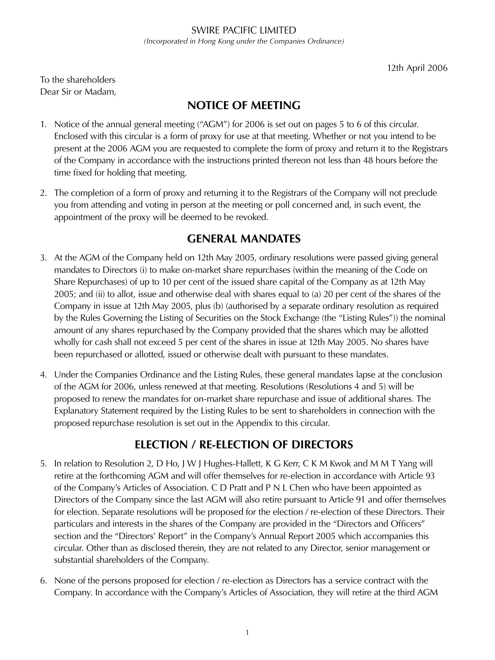SWIRE PACIFIC LIMITED *(Incorporated in Hong Kong under the Companies Ordinance)*

12th April 2006

To the shareholders Dear Sir or Madam,

# **NOTICE OF MEETING**

- 1. Notice of the annual general meeting ("AGM") for 2006 is set out on pages 5 to 6 of this circular. Enclosed with this circular is a form of proxy for use at that meeting. Whether or not you intend to be present at the 2006 AGM you are requested to complete the form of proxy and return it to the Registrars of the Company in accordance with the instructions printed thereon not less than 48 hours before the time fixed for holding that meeting.
- 2. The completion of a form of proxy and returning it to the Registrars of the Company will not preclude you from attending and voting in person at the meeting or poll concerned and, in such event, the appointment of the proxy will be deemed to be revoked.

### **GENERAL MANDATES**

- 3. At the AGM of the Company held on 12th May 2005, ordinary resolutions were passed giving general mandates to Directors (i) to make on-market share repurchases (within the meaning of the Code on Share Repurchases) of up to 10 per cent of the issued share capital of the Company as at 12th May 2005; and (ii) to allot, issue and otherwise deal with shares equal to (a) 20 per cent of the shares of the Company in issue at 12th May 2005, plus (b) (authorised by a separate ordinary resolution as required by the Rules Governing the Listing of Securities on the Stock Exchange (the "Listing Rules")) the nominal amount of any shares repurchased by the Company provided that the shares which may be allotted wholly for cash shall not exceed 5 per cent of the shares in issue at 12th May 2005. No shares have been repurchased or allotted, issued or otherwise dealt with pursuant to these mandates.
- 4. Under the Companies Ordinance and the Listing Rules, these general mandates lapse at the conclusion of the AGM for 2006, unless renewed at that meeting. Resolutions (Resolutions 4 and 5) will be proposed to renew the mandates for on-market share repurchase and issue of additional shares. The Explanatory Statement required by the Listing Rules to be sent to shareholders in connection with the proposed repurchase resolution is set out in the Appendix to this circular.

# **ELECTION / RE-ELECTION OF DIRECTORS**

- 5. In relation to Resolution 2, D Ho, J W J Hughes-Hallett, K G Kerr, C K M Kwok and M M T Yang will retire at the forthcoming AGM and will offer themselves for re-election in accordance with Article 93 of the Company's Articles of Association. C D Pratt and P N L Chen who have been appointed as Directors of the Company since the last AGM will also retire pursuant to Article 91 and offer themselves for election. Separate resolutions will be proposed for the election / re-election of these Directors. Their particulars and interests in the shares of the Company are provided in the "Directors and Officers" section and the "Directors' Report" in the Company's Annual Report 2005 which accompanies this circular. Other than as disclosed therein, they are not related to any Director, senior management or substantial shareholders of the Company.
- 6. None of the persons proposed for election / re-election as Directors has a service contract with the Company. In accordance with the Company's Articles of Association, they will retire at the third AGM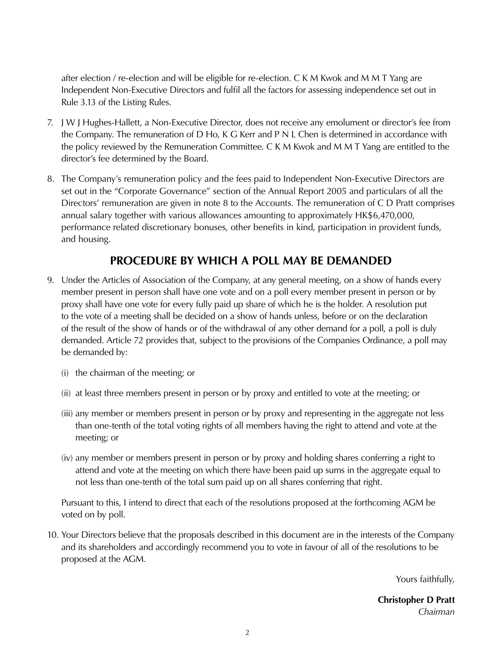after election / re-election and will be eligible for re-election. C K M Kwok and M M T Yang are Independent Non-Executive Directors and fulfil all the factors for assessing independence set out in Rule 3.13 of the Listing Rules.

- 7. J W J Hughes-Hallett, a Non-Executive Director, does not receive any emolument or director's fee from the Company. The remuneration of D Ho, K G Kerr and P N L Chen is determined in accordance with the policy reviewed by the Remuneration Committee. C K M Kwok and M M T Yang are entitled to the director's fee determined by the Board.
- 8. The Company's remuneration policy and the fees paid to Independent Non-Executive Directors are set out in the "Corporate Governance" section of the Annual Report 2005 and particulars of all the Directors' remuneration are given in note 8 to the Accounts. The remuneration of C D Pratt comprises annual salary together with various allowances amounting to approximately HK\$6,470,000, performance related discretionary bonuses, other benefits in kind, participation in provident funds, and housing.

### **PROCEDURE BY WHICH A POLL MAY BE DEMANDED**

- 9. Under the Articles of Association of the Company, at any general meeting, on a show of hands every member present in person shall have one vote and on a poll every member present in person or by proxy shall have one vote for every fully paid up share of which he is the holder. A resolution put to the vote of a meeting shall be decided on a show of hands unless, before or on the declaration of the result of the show of hands or of the withdrawal of any other demand for a poll, a poll is duly demanded. Article 72 provides that, subject to the provisions of the Companies Ordinance, a poll may be demanded by:
	- (i) the chairman of the meeting; or
	- (ii) at least three members present in person or by proxy and entitled to vote at the meeting; or
	- (iii) any member or members present in person or by proxy and representing in the aggregate not less than one-tenth of the total voting rights of all members having the right to attend and vote at the meeting; or
	- (iv) any member or members present in person or by proxy and holding shares conferring a right to attend and vote at the meeting on which there have been paid up sums in the aggregate equal to not less than one-tenth of the total sum paid up on all shares conferring that right.

 Pursuant to this, I intend to direct that each of the resolutions proposed at the forthcoming AGM be voted on by poll.

10. Your Directors believe that the proposals described in this document are in the interests of the Company and its shareholders and accordingly recommend you to vote in favour of all of the resolutions to be proposed at the AGM.

Yours faithfully,

**Christopher D Pratt** *Chairman*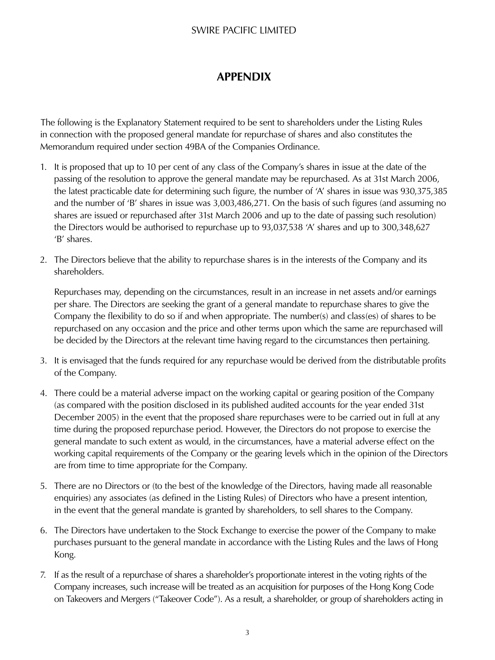### SWIRE PACIFIC LIMITED

# **APPENDIX**

The following is the Explanatory Statement required to be sent to shareholders under the Listing Rules in connection with the proposed general mandate for repurchase of shares and also constitutes the Memorandum required under section 49BA of the Companies Ordinance.

- 1. It is proposed that up to 10 per cent of any class of the Company's shares in issue at the date of the passing of the resolution to approve the general mandate may be repurchased. As at 31st March 2006, the latest practicable date for determining such figure, the number of 'A' shares in issue was 930,375,385 and the number of 'B' shares in issue was 3,003,486,271. On the basis of such figures (and assuming no shares are issued or repurchased after 31st March 2006 and up to the date of passing such resolution) the Directors would be authorised to repurchase up to 93,037,538 'A' shares and up to 300,348,627 'B' shares.
- 2. The Directors believe that the ability to repurchase shares is in the interests of the Company and its shareholders.

 Repurchases may, depending on the circumstances, result in an increase in net assets and/or earnings per share. The Directors are seeking the grant of a general mandate to repurchase shares to give the Company the flexibility to do so if and when appropriate. The number(s) and class(es) of shares to be repurchased on any occasion and the price and other terms upon which the same are repurchased will be decided by the Directors at the relevant time having regard to the circumstances then pertaining.

- 3. It is envisaged that the funds required for any repurchase would be derived from the distributable profits of the Company.
- 4. There could be a material adverse impact on the working capital or gearing position of the Company (as compared with the position disclosed in its published audited accounts for the year ended 31st December 2005) in the event that the proposed share repurchases were to be carried out in full at any time during the proposed repurchase period. However, the Directors do not propose to exercise the general mandate to such extent as would, in the circumstances, have a material adverse effect on the working capital requirements of the Company or the gearing levels which in the opinion of the Directors are from time to time appropriate for the Company.
- 5. There are no Directors or (to the best of the knowledge of the Directors, having made all reasonable enquiries) any associates (as defined in the Listing Rules) of Directors who have a present intention, in the event that the general mandate is granted by shareholders, to sell shares to the Company.
- 6. The Directors have undertaken to the Stock Exchange to exercise the power of the Company to make purchases pursuant to the general mandate in accordance with the Listing Rules and the laws of Hong Kong.
- 7. If as the result of a repurchase of shares a shareholder's proportionate interest in the voting rights of the Company increases, such increase will be treated as an acquisition for purposes of the Hong Kong Code on Takeovers and Mergers ("Takeover Code"). As a result, a shareholder, or group of shareholders acting in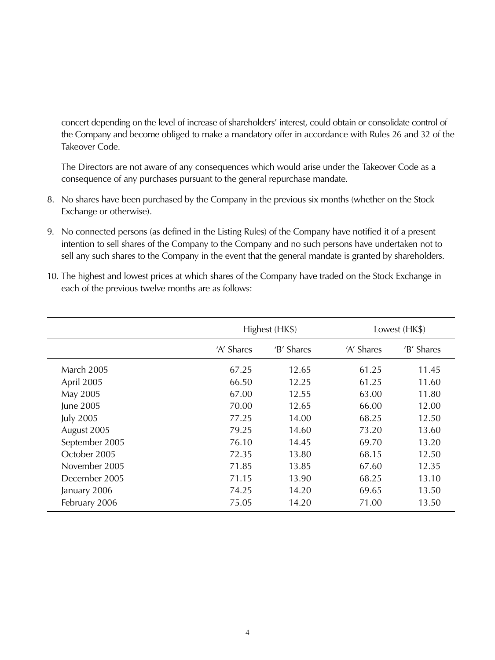concert depending on the level of increase of shareholders' interest, could obtain or consolidate control of the Company and become obliged to make a mandatory offer in accordance with Rules 26 and 32 of the Takeover Code.

 The Directors are not aware of any consequences which would arise under the Takeover Code as a consequence of any purchases pursuant to the general repurchase mandate.

- 8. No shares have been purchased by the Company in the previous six months (whether on the Stock Exchange or otherwise).
- 9. No connected persons (as defined in the Listing Rules) of the Company have notified it of a present intention to sell shares of the Company to the Company and no such persons have undertaken not to sell any such shares to the Company in the event that the general mandate is granted by shareholders.

|                   | Highest (HK\$) |            | Lowest (HK\$) |            |
|-------------------|----------------|------------|---------------|------------|
|                   | 'A' Shares     | 'B' Shares | 'A' Shares    | 'B' Shares |
| <b>March 2005</b> | 67.25          | 12.65      | 61.25         | 11.45      |
| April 2005        | 66.50          | 12.25      | 61.25         | 11.60      |
| May 2005          | 67.00          | 12.55      | 63.00         | 11.80      |
| June 2005         | 70.00          | 12.65      | 66.00         | 12.00      |
| <b>July 2005</b>  | 77.25          | 14.00      | 68.25         | 12.50      |
| August 2005       | 79.25          | 14.60      | 73.20         | 13.60      |
| September 2005    | 76.10          | 14.45      | 69.70         | 13.20      |
| October 2005      | 72.35          | 13.80      | 68.15         | 12.50      |
| November 2005     | 71.85          | 13.85      | 67.60         | 12.35      |
| December 2005     | 71.15          | 13.90      | 68.25         | 13.10      |
| January 2006      | 74.25          | 14.20      | 69.65         | 13.50      |
| February 2006     | 75.05          | 14.20      | 71.00         | 13.50      |

10. The highest and lowest prices at which shares of the Company have traded on the Stock Exchange in each of the previous twelve months are as follows: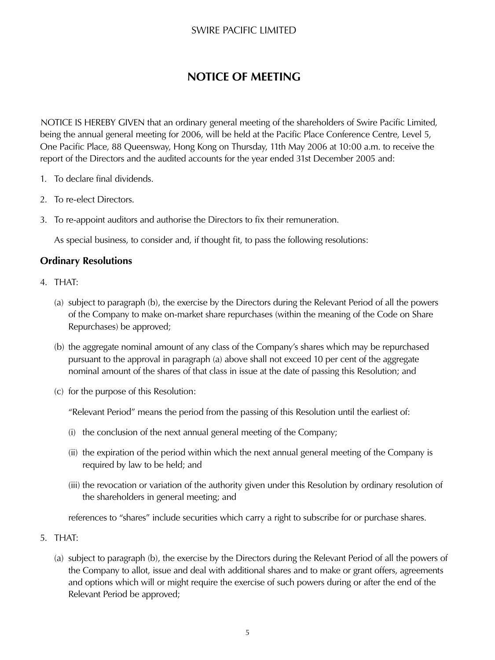### SWIRE PACIFIC LIMITED

# **NOTICE OF MEETING**

NOTICE IS HEREBY GIVEN that an ordinary general meeting of the shareholders of Swire Pacific Limited, being the annual general meeting for 2006, will be held at the Pacific Place Conference Centre, Level 5, One Pacific Place, 88 Queensway, Hong Kong on Thursday, 11th May 2006 at 10:00 a.m. to receive the report of the Directors and the audited accounts for the year ended 31st December 2005 and:

- 1. To declare final dividends.
- 2. To re-elect Directors.
- 3. To re-appoint auditors and authorise the Directors to fix their remuneration.

As special business, to consider and, if thought fit, to pass the following resolutions:

### **Ordinary Resolutions**

- 4. THAT:
	- (a) subject to paragraph (b), the exercise by the Directors during the Relevant Period of all the powers of the Company to make on-market share repurchases (within the meaning of the Code on Share Repurchases) be approved;
	- (b) the aggregate nominal amount of any class of the Company's shares which may be repurchased pursuant to the approval in paragraph (a) above shall not exceed 10 per cent of the aggregate nominal amount of the shares of that class in issue at the date of passing this Resolution; and
	- (c) for the purpose of this Resolution:

"Relevant Period" means the period from the passing of this Resolution until the earliest of:

- (i) the conclusion of the next annual general meeting of the Company;
- (ii) the expiration of the period within which the next annual general meeting of the Company is required by law to be held; and
- (iii) the revocation or variation of the authority given under this Resolution by ordinary resolution of the shareholders in general meeting; and

references to "shares" include securities which carry a right to subscribe for or purchase shares.

- 5. THAT:
	- (a) subject to paragraph (b), the exercise by the Directors during the Relevant Period of all the powers of the Company to allot, issue and deal with additional shares and to make or grant offers, agreements and options which will or might require the exercise of such powers during or after the end of the Relevant Period be approved;